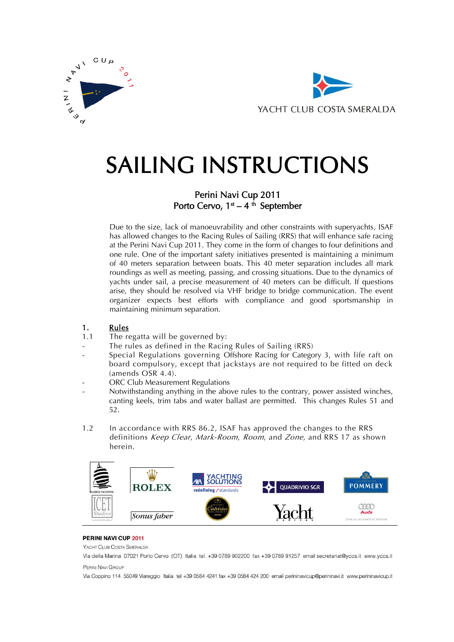



# SAILING INSTRUCTIONS

### Perini Navi Cup 2011 Porto Cervo,  $1<sup>st</sup> - 4<sup>th</sup>$  September

Due to the size, lack of manoeuvrability and other constraints with superyachts, ISAF has allowed changes to the Racing Rules of Sailing (RRS) that will enhance safe racing at the Perini Navi Cup 2011. They come in the form of changes to four definitions and one rule. One of the important safety initiatives presented is maintaining a minimum of 40 meters separation between boats. This 40 meter separation includes all mark roundings as well as meeting, passing, and crossing situations. Due to the dynamics of yachts under sail, a precise measurement of 40 meters can be difficult. If questions arise, they should be resolved via VHF bridge to bridge communication. The event organizer expects best efforts with compliance and good sportsmanship in maintaining minimum separation.

#### 1. Rules

- 1.1 The regatta will be governed by:
- The rules as defined in the Racing Rules of Sailing (RRS)
- Special Regulations governing Offshore Racing for Category 3, with life raft on board compulsory, except that jackstays are not required to be fitted on deck (amends OSR 4.4).
- ORC Club Measurement Regulations
- Notwithstanding anything in the above rules to the contrary, power assisted winches, canting keels, trim tabs and water ballast are permitted. This changes Rules 51 and 52.
- 1.2 In accordance with RRS 86.2, ISAF has approved the changes to the RRS definitions Keep Clear, Mark-Room, Room, and Zone, and RRS 17 as shown herein.



#### PERINI NAVI CUP 2011

YACHT CLUB COSTA SMERALDA

Via della Marina 07021 Porto Cervo (OT) Italia tel. +39 0789 902200 fax +39 0789 91257 email secretariat@yccs.it www.yccs.it PERINI NAVI GROUP

Via Coppino 114 55049 Viareggio Italia tel +39 0584 4241 fax +39 0584 424 200 email perininavicup@perininavi.it www.perininavicup.it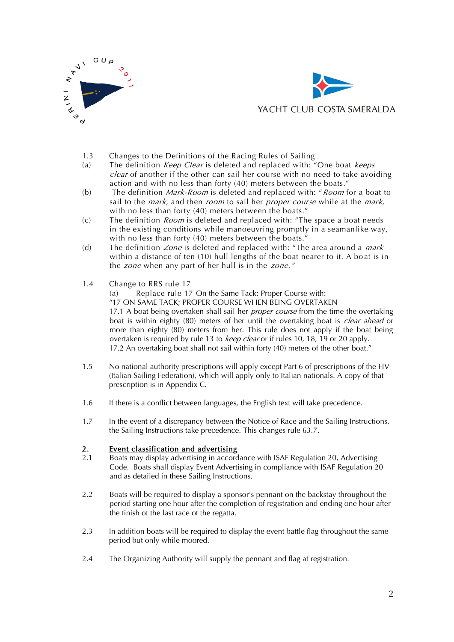



- 1.3 Changes to the Definitions of the Racing Rules of Sailing
- (a) The definition *Keep Clear* is deleted and replaced with: "One boat *keeps* clear of another if the other can sail her course with no need to take avoiding action and with no less than forty (40) meters between the boats."
- (b) The definition *Mark-Room* is deleted and replaced with: "*Room* for a boat to sail to the *mark*, and then *room* to sail her *proper course* while at the *mark*, with no less than forty (40) meters between the boats."
- (c) The definition *Room* is deleted and replaced with: "The space a boat needs in the existing conditions while manoeuvring promptly in a seamanlike way, with no less than forty (40) meters between the boats."
- (d) The definition *Zone* is deleted and replaced with: "The area around a *mark* within a distance of ten (10) hull lengths of the boat nearer to it. A bo at is in the *zone* when any part of her hull is in the *zone.*"
- 1.4 Change to RRS rule 17

(a) Replace rule 17 On the Same Tack; Proper Course with: "17 ON SAME TACK; PROPER COURSE WHEN BEING OVERTAKEN 17.1 A boat being overtaken shall sail her *proper course* from the time the overtaking boat is within eighty (80) meters of her until the overtaking boat is *clear ahead* or more than eighty (80) meters from her. This rule does not apply if the boat being overtaken is required by rule 13 to *keep clear* or if rules 10, 18, 19 or 20 apply. 17.2 An overtaking boat shall not sail within forty (40) meters of the other boat."

- 1.5 No national authority prescriptions will apply except Part 6 of prescriptions of the FIV (Italian Sailing Federation), which will apply only to Italian nationals. A copy of that prescription is in Appendix C.
- 1.6 If there is a conflict between languages, the English text will take precedence.
- 1.7 In the event of a discrepancy between the Notice of Race and the Sailing Instructions, the Sailing Instructions take precedence. This changes rule 63.7.

#### 2. Event classification and advertising

- 2.1 Boats may display advertising in accordance with ISAF Regulation 20, Advertising Code. Boats shall display Event Advertising in compliance with ISAF Regulation 20 and as detailed in these Sailing Instructions.
- 2.2 Boats will be required to display a sponsor's pennant on the backstay throughout the period starting one hour after the completion of registration and ending one hour after the finish of the last race of the regatta.
- 2.3 In addition boats will be required to display the event battle flag throughout the same period but only while moored.
- 2.4 The Organizing Authority will supply the pennant and flag at registration.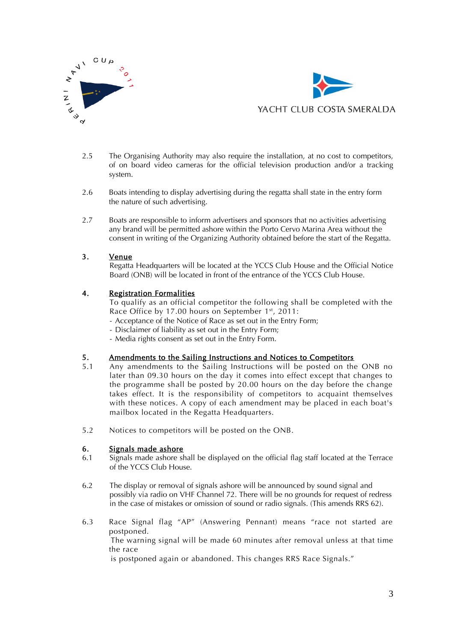



- 2.5 The Organising Authority may also require the installation, at no cost to competitors, of on board video cameras for the official television production and/or a tracking system.
- 2.6 Boats intending to display advertising during the regatta shall state in the entry form the nature of such advertising.
- 2.7 Boats are responsible to inform advertisers and sponsors that no activities advertising any brand will be permitted ashore within the Porto Cervo Marina Area without the consent in writing of the Organizing Authority obtained before the start of the Regatta.

#### 3. Venue

Regatta Headquarters will be located at the YCCS Club House and the Official Notice Board (ONB) will be located in front of the entrance of the YCCS Club House.

#### 4. Registration Formalities

To qualify as an official competitor the following shall be completed with the Race Office by 17.00 hours on September 1<sup>st</sup>, 2011:

- Acceptance of the Notice of Race as set out in the Entry Form;
- Disclaimer of liability as set out in the Entry Form;
- Media rights consent as set out in the Entry Form.

# 5. Amendments to the Sailing Instructions and Notices to Competitors<br>5.1 Any amendments to the Sailing Instructions will be posted on the

- Any amendments to the Sailing Instructions will be posted on the ONB no later than 09.30 hours on the day it comes into effect except that changes to the programme shall be posted by 20.00 hours on the day before the change takes effect. It is the responsibility of competitors to acquaint themselves with these notices. A copy of each amendment may be placed in each boat's mailbox located in the Regatta Headquarters.
- 5.2 Notices to competitors will be posted on the ONB.

#### 6. Signals made ashore

- 6.1 Signals made ashore shall be displayed on the official flag staff located at the Terrace of the YCCS Club House.
- 6.2 The display or removal of signals ashore will be announced by sound signal and possibly via radio on VHF Channel 72. There will be no grounds for request of redress in the case of mistakes or omission of sound or radio signals. (This amends RRS 62).
- 6.3 Race Signal flag "AP" (Answering Pennant) means "race not started are postponed. The warning signal will be made 60 minutes after removal unless at that time the race

is postponed again or abandoned. This changes RRS Race Signals."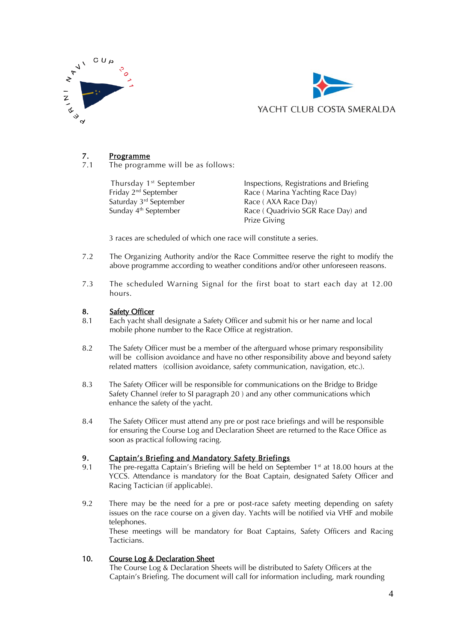



### 7. Programme

7.1 The programme will be as follows:

Thursday 1<sup>st</sup> September Inspections, Registrations and Briefing<br>
Friday 2<sup>nd</sup> September **Inspections** Race (Marina Yachting Race Day) Race ( Marina Yachting Race Day) Saturday  $3^{rd}$  September Race ( AXA Race Day)<br>
Sunday  $4^{th}$  September Race ( Quadrivio SGR Race ( Quadrivio SGR Race Day) and Prize Giving

3 races are scheduled of which one race will constitute a series.

- 7.2 The Organizing Authority and/or the Race Committee reserve the right to modify the above programme according to weather conditions and/or other unforeseen reasons.
- 7.3 The scheduled Warning Signal for the first boat to start each day at 12.00 hours.

#### 8. Safety Officer

- 8.1 Each yacht shall designate a Safety Officer and submit his or her name and local mobile phone number to the Race Office at registration.
- 8.2 The Safety Officer must be a member of the afterguard whose primary responsibility will be collision avoidance and have no other responsibility above and beyond safety related matters (collision avoidance, safety communication, navigation, etc.).
- 8.3 The Safety Officer will be responsible for communications on the Bridge to Bridge Safety Channel (refer to SI paragraph 20 ) and any other communications which enhance the safety of the yacht.
- 8.4 The Safety Officer must attend any pre or post race briefings and will be responsible for ensuring the Course Log and Declaration Sheet are returned to the Race Office as soon as practical following racing.

#### 9. Captain's Briefing and Mandatory Safety Briefings

- 9.1 The pre-regatta Captain's Briefing will be held on September  $1<sup>st</sup>$  at 18.00 hours at the YCCS. Attendance is mandatory for the Boat Captain, designated Safety Officer and Racing Tactician (if applicable).
- 9.2 There may be the need for a pre or post-race safety meeting depending on safety issues on the race course on a given day. Yachts will be notified via VHF and mobile telephones. These meetings will be mandatory for Boat Captains, Safety Officers and Racing Tacticians.

#### 10. Course Log & Declaration Sheet

The Course Log & Declaration Sheets will be distributed to Safety Officers at the Captain's Briefing. The document will call for information including, mark rounding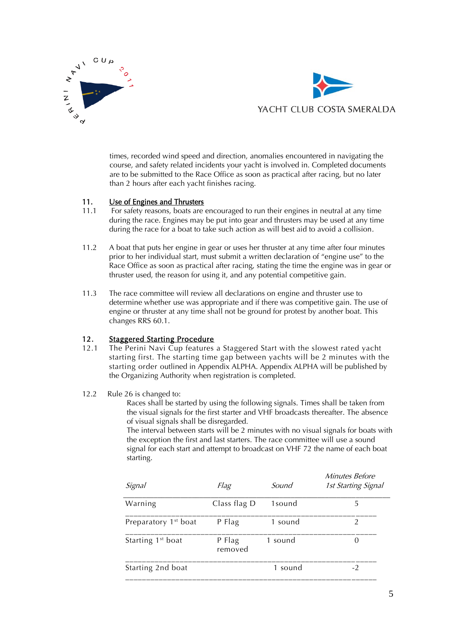



times, recorded wind speed and direction, anomalies encountered in navigating the course, and safety related incidents your yacht is involved in. Completed documents are to be submitted to the Race Office as soon as practical after racing, but no later than 2 hours after each yacht finishes racing.

#### 11. Use of Engines and Thrusters

- 11.1 For safety reasons, boats are encouraged to run their engines in neutral at any time during the race. Engines may be put into gear and thrusters may be used at any time during the race for a boat to take such action as will best aid to avoid a collision.
- 11.2 A boat that puts her engine in gear or uses her thruster at any time after four minutes prior to her individual start, must submit a written declaration of "engine use" to the Race Office as soon as practical after racing, stating the time the engine was in gear or thruster used, the reason for using it, and any potential competitive gain.
- 11.3 The race committee will review all declarations on engine and thruster use to determine whether use was appropriate and if there was competitive gain. The use of engine or thruster at any time shall not be ground for protest by another boat. This changes RRS 60.1.

# 12. Staggered Starting Procedure<br>12.1 The Perini Navi Cun features

- 12.1 The Perini Navi Cup features a Staggered Start with the slowest rated yacht starting first. The starting time gap between yachts will be 2 minutes with the starting order outlined in Appendix ALPHA. Appendix ALPHA will be published by the Organizing Authority when registration is completed.
- 12.2 Rule 26 is changed to:

Races shall be started by using the following signals. Times shall be taken from the visual signals for the first starter and VHF broadcasts thereafter. The absence of visual signals shall be disregarded.

The interval between starts will be 2 minutes with no visual signals for boats with the exception the first and last starters. The race committee will use a sound signal for each start and attempt to broadcast on VHF 72 the name of each boat starting.

| Signal                           | Flag              | Sound   | <i>Minutes Before</i><br>1st Starting Signal |
|----------------------------------|-------------------|---------|----------------------------------------------|
| Warning                          | Class flag D      | 1sound  | 5                                            |
| Preparatory 1 <sup>st</sup> boat | P Flag            | 1 sound | $\mathcal{D}$                                |
| Starting 1 <sup>st</sup> boat    | P Flag<br>removed | 1 sound | 0                                            |
| Starting 2nd boat                |                   | 1 sound | $-2$                                         |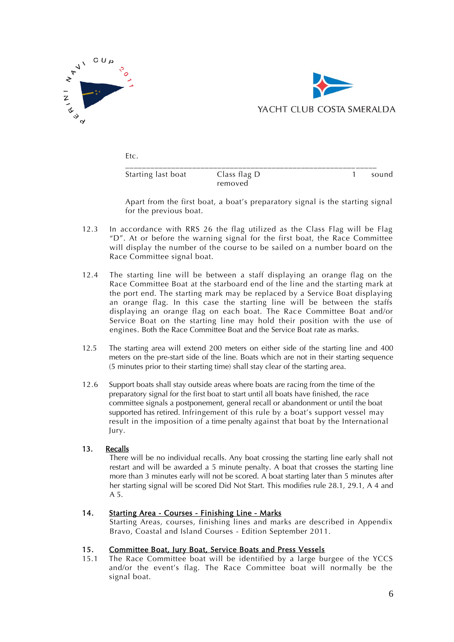



Etc.

| Starting last boat | Class flag D<br>removed | sound |
|--------------------|-------------------------|-------|

Apart from the first boat, a boat's preparatory signal is the starting signal for the previous boat.

- 12.3 In accordance with RRS 26 the flag utilized as the Class Flag will be Flag "D". At or before the warning signal for the first boat, the Race Committee will display the number of the course to be sailed on a number board on the Race Committee signal boat.
- 12.4 The starting line will be between a staff displaying an orange flag on the Race Committee Boat at the starboard end of the line and the starting mark at the port end. The starting mark may be replaced by a Service Boat displaying an orange flag. In this case the starting line will be between the staffs displaying an orange flag on each boat. The Race Committee Boat and/or Service Boat on the starting line may hold their position with the use of engines. Both the Race Committee Boat and the Service Boat rate as marks.
- 12.5 The starting area will extend 200 meters on either side of the starting line and 400 meters on the pre-start side of the line. Boats which are not in their starting sequence (5 minutes prior to their starting time) shall stay clear of the starting area.
- 12.6 Support boats shall stay outside areas where boats are racing from the time of the preparatory signal for the first boat to start until all boats have finished, the race committee signals a postponement, general recall or abandonment or until the boat supported has retired. Infringement of this rule by a boat's support vessel may result in the imposition of a time penalty against that boat by the International Jury.

#### 13. Recalls

There will be no individual recalls. Any boat crossing the starting line early shall not restart and will be awarded a 5 minute penalty. A boat that crosses the starting line more than 3 minutes early will not be scored. A boat starting later than 5 minutes after her starting signal will be scored Did Not Start. This modifies rule 28.1, 29.1, A 4 and A 5.

#### 14. Starting Area - Courses - Finishing Line - Marks

Starting Areas, courses, finishing lines and marks are described in Appendix Bravo, Coastal and Island Courses - Edition September 2011.

#### 15. Committee Boat, Jury Boat, Service Boats and Press Vessels

15.1 The Race Committee boat will be identified by a large burgee of the YCCS and/or the event's flag. The Race Committee boat will normally be the signal boat.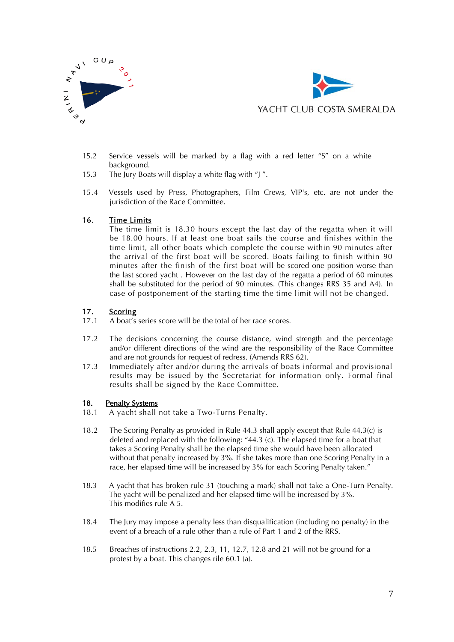



- 15.2 Service vessels will be marked by a flag with a red letter "S" on a white background.
- 15.3 The Jury Boats will display a white flag with "J ".
- 15.4 Vessels used by Press, Photographers, Film Crews, VIP's, etc. are not under the jurisdiction of the Race Committee.

#### 16. Time Limits

The time limit is 18.30 hours except the last day of the regatta when it will be 18.00 hours. If at least one boat sails the course and finishes within the time limit, all other boats which complete the course within 90 minutes after the arrival of the first boat will be scored. Boats failing to finish within 90 minutes after the finish of the first boat will be scored one position worse than the last scored yacht . However on the last day of the regatta a period of 60 minutes shall be substituted for the period of 90 minutes. (This changes RRS 35 and A4). In case of postponement of the starting time the time limit will not be changed.

# 17. Scoring<br>17.1 A boat's

- A boat's series score will be the total of her race scores.
- 17.2 The decisions concerning the course distance, wind strength and the percentage and/or different directions of the wind are the responsibility of the Race Committee and are not grounds for request of redress. (Amends RRS 62).
- 17.3 Immediately after and/or during the arrivals of boats informal and provisional results may be issued by the Secretariat for information only. Formal final results shall be signed by the Race Committee.

# 18. Penalty Systems<br>18.1 A vacht shall

- A yacht shall not take a Two-Turns Penalty.
- 18.2 The Scoring Penalty as provided in Rule 44.3 shall apply except that Rule 44.3(c) is deleted and replaced with the following: "44.3 (c). The elapsed time for a boat that takes a Scoring Penalty shall be the elapsed time she would have been allocated without that penalty increased by 3%. If she takes more than one Scoring Penalty in a race, her elapsed time will be increased by 3% for each Scoring Penalty taken."
- 18.3 A yacht that has broken rule 31 (touching a mark) shall not take a One-Turn Penalty. The yacht will be penalized and her elapsed time will be increased by 3%. This modifies rule A 5.
- 18.4 The Jury may impose a penalty less than disqualification (including no penalty) in the event of a breach of a rule other than a rule of Part 1 and 2 of the RRS.
- 18.5 Breaches of instructions 2.2, 2.3, 11, 12.7, 12.8 and 21 will not be ground for a protest by a boat. This changes rile 60.1 (a).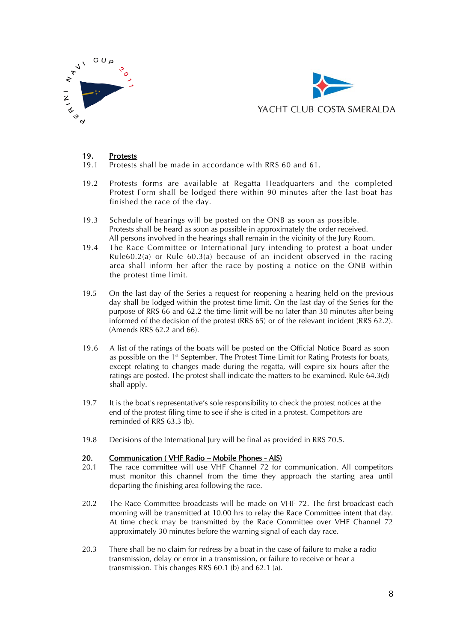



#### 19. Protests

- 19.1 Protests shall be made in accordance with RRS 60 and 61.
- 19.2 Protests forms are available at Regatta Headquarters and the completed Protest Form shall be lodged there within 90 minutes after the last boat has finished the race of the day.
- 19.3 Schedule of hearings will be posted on the ONB as soon as possible. Protests shall be heard as soon as possible in approximately the order received. All persons involved in the hearings shall remain in the vicinity of the Jury Room.
- 19.4 The Race Committee or International Jury intending to protest a boat under Rule60.2(a) or Rule 60.3(a) because of an incident observed in the racing area shall inform her after the race by posting a notice on the ONB within the protest time limit.
- 19.5 On the last day of the Series a request for reopening a hearing held on the previous day shall be lodged within the protest time limit. On the last day of the Series for the purpose of RRS 66 and 62.2 the time limit will be no later than 30 minutes after being informed of the decision of the protest (RRS 65) or of the relevant incident (RRS 62.2). (Amends RRS 62.2 and 66).
- 19.6 A list of the ratings of the boats will be posted on the Official Notice Board as soon as possible on the 1st September. The Protest Time Limit for Rating Protests for boats, except relating to changes made during the regatta, will expire six hours after the ratings are posted. The protest shall indicate the matters to be examined. Rule 64.3(d) shall apply.
- 19.7 It is the boat's representative's sole responsibility to check the protest notices at the end of the protest filing time to see if she is cited in a protest. Competitors are reminded of RRS 63.3 (b).
- 19.8 Decisions of the International Jury will be final as provided in RRS 70.5.

#### 20. Communication ( VHF Radio – Mobile Phones - AIS)

- 20.1 The race committee will use VHF Channel 72 for communication. All competitors must monitor this channel from the time they approach the starting area until departing the finishing area following the race.
- 20.2 The Race Committee broadcasts will be made on VHF 72. The first broadcast each morning will be transmitted at 10.00 hrs to relay the Race Committee intent that day. At time check may be transmitted by the Race Committee over VHF Channel 72 approximately 30 minutes before the warning signal of each day race.
- 20.3 There shall be no claim for redress by a boat in the case of failure to make a radio transmission, delay or error in a transmission, or failure to receive or hear a transmission. This changes RRS 60.1 (b) and 62.1 (a).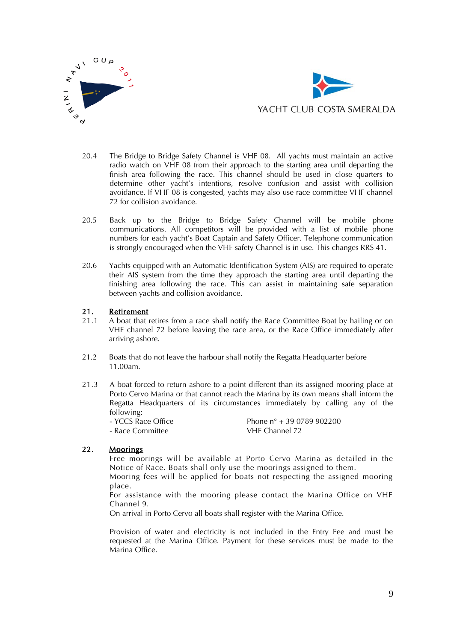



- 20.4 The Bridge to Bridge Safety Channel is VHF 08. All yachts must maintain an active radio watch on VHF 08 from their approach to the starting area until departing the finish area following the race. This channel should be used in close quarters to determine other yacht's intentions, resolve confusion and assist with collision avoidance. If VHF 08 is congested, yachts may also use race committee VHF channel 72 for collision avoidance.
- 20.5 Back up to the Bridge to Bridge Safety Channel will be mobile phone communications. All competitors will be provided with a list of mobile phone numbers for each yacht's Boat Captain and Safety Officer. Telephone communication is strongly encouraged when the VHF safety Channel is in use. This changes RRS 41.
- 20.6 Yachts equipped with an Automatic Identification System (AIS) are required to operate their AIS system from the time they approach the starting area until departing the finishing area following the race. This can assist in maintaining safe separation between yachts and collision avoidance.

#### 21. Retirement

- 21.1 A boat that retires from a race shall notify the Race Committee Boat by hailing or on VHF channel 72 before leaving the race area, or the Race Office immediately after arriving ashore.
- 21.2 Boats that do not leave the harbour shall notify the Regatta Headquarter before 11.00am.
- 21.3 A boat forced to return ashore to a point different than its assigned mooring place at Porto Cervo Marina or that cannot reach the Marina by its own means shall inform the Regatta Headquarters of its circumstances immediately by calling any of the following:<br>- YCCS Race Office
	- Phone  $n^{\circ}$  + 39 0789 902200 - Race Committee VHF Channel 72

#### 22. Moorings

Free moorings will be available at Porto Cervo Marina as detailed in the Notice of Race. Boats shall only use the moorings assigned to them.

Mooring fees will be applied for boats not respecting the assigned mooring place.

For assistance with the mooring please contact the Marina Office on VHF Channel 9.

On arrival in Porto Cervo all boats shall register with the Marina Office.

Provision of water and electricity is not included in the Entry Fee and must be requested at the Marina Office. Payment for these services must be made to the Marina Office.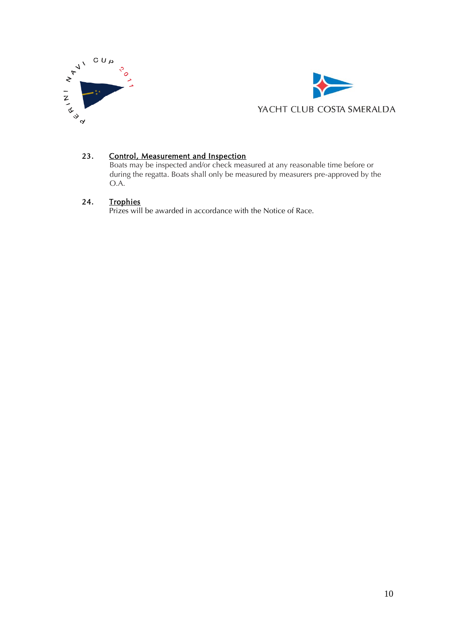



#### 23. Control, Measurement and Inspection

Boats may be inspected and/or check measured at any reasonable time before or during the regatta. Boats shall only be measured by measurers pre-approved by the O.A.

#### 24. Trophies

Prizes will be awarded in accordance with the Notice of Race.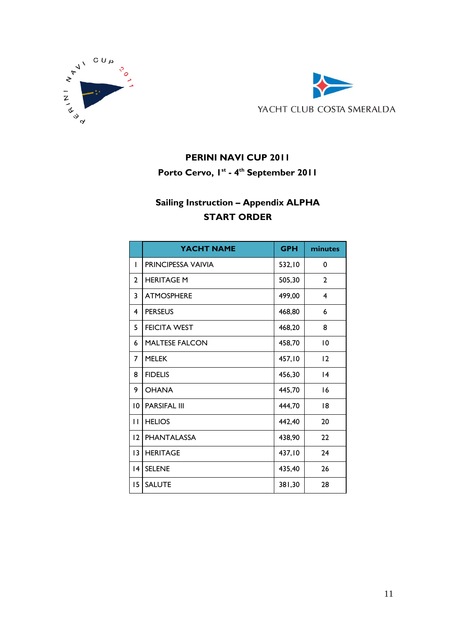



### **PERINI NAVI CUP 2011**

**Porto Cervo, 1st - 4 th September 2011**

## **Sailing Instruction – Appendix ALPHA START ORDER**

|                 | YACHT NAME            | <b>GPH</b> | minutes      |
|-----------------|-----------------------|------------|--------------|
| $\mathbf{I}$    | PRINCIPESSA VAIVIA    | 532,10     | 0            |
| $\mathbf{2}$    | <b>HERITAGE M</b>     | 505,30     | $\mathbf{2}$ |
| 3               | <b>ATMOSPHERE</b>     | 499,00     | 4            |
| 4               | <b>PERSEUS</b>        | 468,80     | 6            |
| 5               | <b>FEICITA WEST</b>   | 468,20     | 8            |
| 6               | <b>MALTESE FALCON</b> | 458,70     | 10           |
| 7               | <b>MELEK</b>          | 457,10     | 12           |
| 8               | <b>FIDELIS</b>        | 456,30     | 4            |
| 9               | <b>OHANA</b>          | 445,70     | 16           |
| $\overline{0}$  | <b>PARSIFAL III</b>   | 444,70     | 18           |
| П               | <b>HELIOS</b>         | 442,40     | 20           |
| 12              | <b>PHANTALASSA</b>    | 438,90     | 22           |
| 3               | <b>HERITAGE</b>       | 437,10     | 24           |
| $\overline{14}$ | <b>SELENE</b>         | 435,40     | 26           |
| 15              | <b>SALUTE</b>         | 381,30     | 28           |